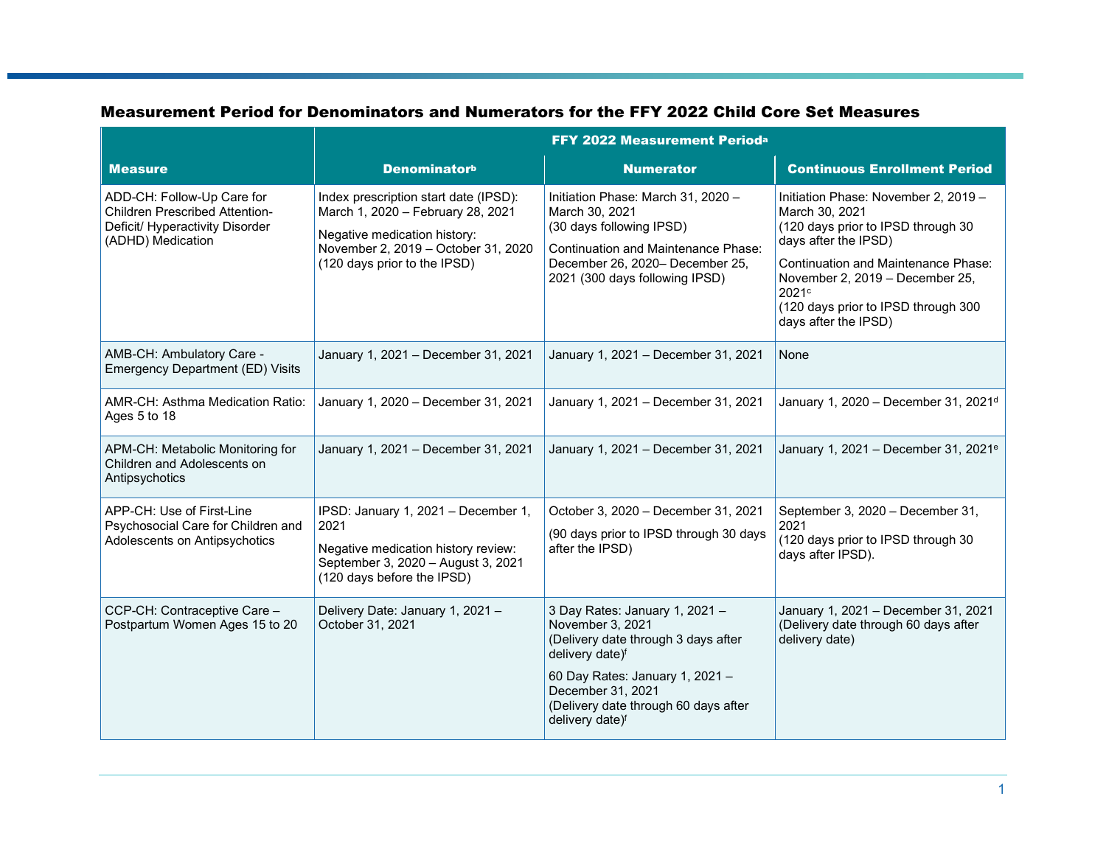## Measurement Period for Denominators and Numerators for the FFY 2022 Child Core Set Measures

|                                                                                                                             | FFY 2022 Measurement Perioda                                                                                                                                                      |                                                                                                                                                                                                                                 |                                                                                                                                                                                                                                                                        |  |
|-----------------------------------------------------------------------------------------------------------------------------|-----------------------------------------------------------------------------------------------------------------------------------------------------------------------------------|---------------------------------------------------------------------------------------------------------------------------------------------------------------------------------------------------------------------------------|------------------------------------------------------------------------------------------------------------------------------------------------------------------------------------------------------------------------------------------------------------------------|--|
| <b>Measure</b>                                                                                                              | <b>Denominatorb</b>                                                                                                                                                               | <b>Numerator</b>                                                                                                                                                                                                                | <b>Continuous Enrollment Period</b>                                                                                                                                                                                                                                    |  |
| ADD-CH: Follow-Up Care for<br><b>Children Prescribed Attention-</b><br>Deficit/ Hyperactivity Disorder<br>(ADHD) Medication | Index prescription start date (IPSD):<br>March 1, 2020 - February 28, 2021<br>Negative medication history:<br>November 2, 2019 - October 31, 2020<br>(120 days prior to the IPSD) | Initiation Phase: March 31, 2020 -<br>March 30, 2021<br>(30 days following IPSD)<br><b>Continuation and Maintenance Phase:</b><br>December 26, 2020- December 25,<br>2021 (300 days following IPSD)                             | Initiation Phase: November 2, 2019 -<br>March 30, 2021<br>(120 days prior to IPSD through 30<br>days after the IPSD)<br>Continuation and Maintenance Phase:<br>November 2, 2019 - December 25,<br>2021c<br>(120 days prior to IPSD through 300<br>days after the IPSD) |  |
| AMB-CH: Ambulatory Care -<br><b>Emergency Department (ED) Visits</b>                                                        | January 1, 2021 - December 31, 2021                                                                                                                                               | January 1, 2021 - December 31, 2021                                                                                                                                                                                             | None                                                                                                                                                                                                                                                                   |  |
| AMR-CH: Asthma Medication Ratio:<br>Ages 5 to 18                                                                            | January 1, 2020 - December 31, 2021                                                                                                                                               | January 1, 2021 - December 31, 2021                                                                                                                                                                                             | January 1, 2020 - December 31, 2021 <sup>d</sup>                                                                                                                                                                                                                       |  |
| APM-CH: Metabolic Monitoring for<br>Children and Adolescents on<br>Antipsychotics                                           | January 1, 2021 - December 31, 2021                                                                                                                                               | January 1, 2021 - December 31, 2021                                                                                                                                                                                             | January 1, 2021 - December 31, 2021 <sup>e</sup>                                                                                                                                                                                                                       |  |
| APP-CH: Use of First-Line<br>Psychosocial Care for Children and<br>Adolescents on Antipsychotics                            | IPSD: January 1, 2021 - December 1,<br>2021<br>Negative medication history review:<br>September 3, 2020 - August 3, 2021<br>(120 days before the IPSD)                            | October 3, 2020 - December 31, 2021<br>(90 days prior to IPSD through 30 days<br>after the IPSD)                                                                                                                                | September 3, 2020 - December 31,<br>2021<br>(120 days prior to IPSD through 30<br>days after IPSD).                                                                                                                                                                    |  |
| CCP-CH: Contraceptive Care -<br>Postpartum Women Ages 15 to 20                                                              | Delivery Date: January 1, 2021 -<br>October 31, 2021                                                                                                                              | 3 Day Rates: January 1, 2021 -<br>November 3, 2021<br>(Delivery date through 3 days after<br>delivery date)f<br>60 Day Rates: January 1, 2021 -<br>December 31, 2021<br>(Delivery date through 60 days after<br>delivery date)f | January 1, 2021 - December 31, 2021<br>(Delivery date through 60 days after<br>delivery date)                                                                                                                                                                          |  |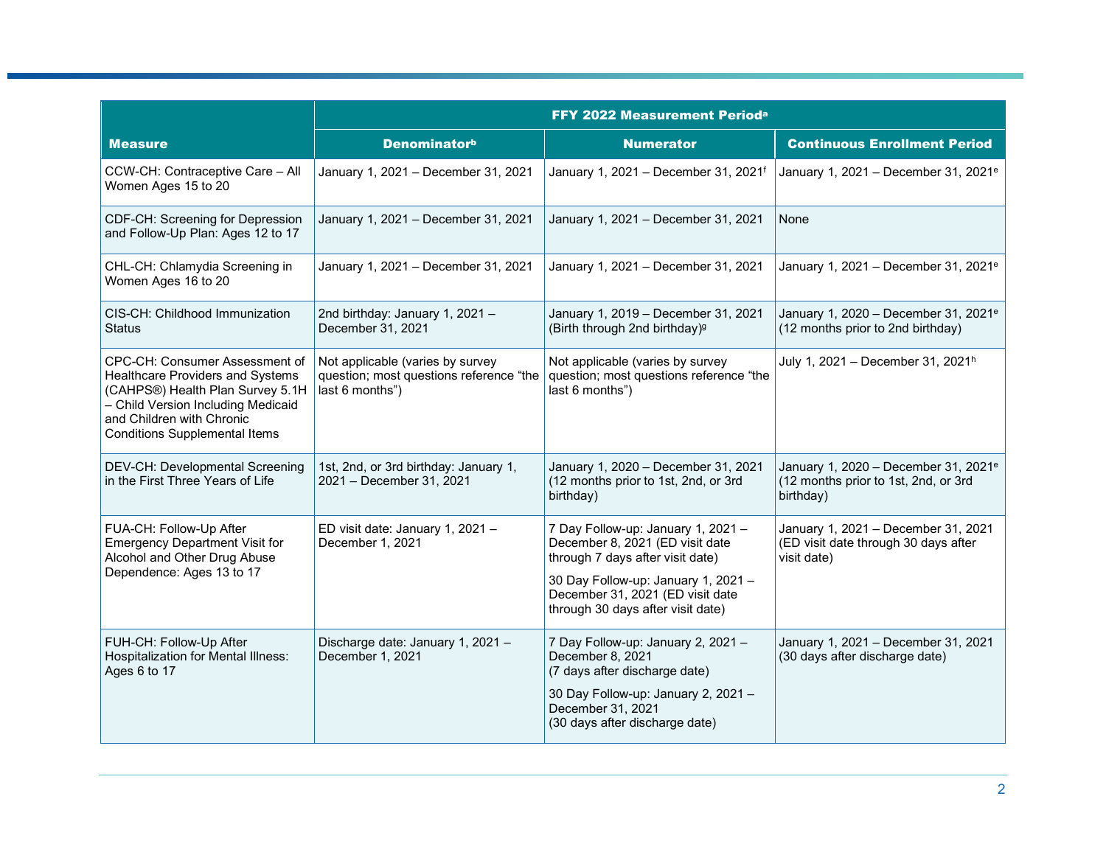|                                                                                                                                                                                                                          | FFY 2022 Measurement Perioda                                                                   |                                                                                                                                                                                                                           |                                                                                                       |
|--------------------------------------------------------------------------------------------------------------------------------------------------------------------------------------------------------------------------|------------------------------------------------------------------------------------------------|---------------------------------------------------------------------------------------------------------------------------------------------------------------------------------------------------------------------------|-------------------------------------------------------------------------------------------------------|
| <b>Measure</b>                                                                                                                                                                                                           | <b>Denominatorb</b>                                                                            | <b>Numerator</b>                                                                                                                                                                                                          | <b>Continuous Enrollment Period</b>                                                                   |
| CCW-CH: Contraceptive Care - All<br>Women Ages 15 to 20                                                                                                                                                                  | January 1, 2021 - December 31, 2021                                                            | January 1, 2021 - December 31, 2021 <sup>f</sup>                                                                                                                                                                          | January 1, 2021 - December 31, 2021 <sup>e</sup>                                                      |
| CDF-CH: Screening for Depression<br>and Follow-Up Plan: Ages 12 to 17                                                                                                                                                    | January 1, 2021 - December 31, 2021                                                            | January 1, 2021 - December 31, 2021                                                                                                                                                                                       | None                                                                                                  |
| CHL-CH: Chlamydia Screening in<br>Women Ages 16 to 20                                                                                                                                                                    | January 1, 2021 - December 31, 2021                                                            | January 1, 2021 - December 31, 2021                                                                                                                                                                                       | January 1, 2021 - December 31, 2021 <sup>e</sup>                                                      |
| CIS-CH: Childhood Immunization<br><b>Status</b>                                                                                                                                                                          | 2nd birthday: January 1, 2021 -<br>December 31, 2021                                           | January 1, 2019 - December 31, 2021<br>(Birth through 2nd birthday) <sup>g</sup>                                                                                                                                          | January 1, 2020 - December 31, 2021 <sup>e</sup><br>(12 months prior to 2nd birthday)                 |
| CPC-CH: Consumer Assessment of<br><b>Healthcare Providers and Systems</b><br>(CAHPS®) Health Plan Survey 5.1H<br>- Child Version Including Medicaid<br>and Children with Chronic<br><b>Conditions Supplemental Items</b> | Not applicable (varies by survey<br>question; most questions reference "the<br>last 6 months") | Not applicable (varies by survey<br>question; most questions reference "the<br>last 6 months")                                                                                                                            | July 1, 2021 - December 31, 2021 <sup>h</sup>                                                         |
| DEV-CH: Developmental Screening<br>in the First Three Years of Life                                                                                                                                                      | 1st, 2nd, or 3rd birthday: January 1,<br>2021 - December 31, 2021                              | January 1, 2020 - December 31, 2021<br>(12 months prior to 1st, 2nd, or 3rd<br>birthday)                                                                                                                                  | January 1, 2020 - December 31, 2021 <sup>e</sup><br>(12 months prior to 1st, 2nd, or 3rd<br>birthday) |
| FUA-CH: Follow-Up After<br><b>Emergency Department Visit for</b><br>Alcohol and Other Drug Abuse<br>Dependence: Ages 13 to 17                                                                                            | ED visit date: January 1, 2021 -<br>December 1, 2021                                           | 7 Day Follow-up: January 1, 2021 -<br>December 8, 2021 (ED visit date<br>through 7 days after visit date)<br>30 Day Follow-up: January 1, 2021 -<br>December 31, 2021 (ED visit date<br>through 30 days after visit date) | January 1, 2021 - December 31, 2021<br>(ED visit date through 30 days after<br>visit date)            |
| FUH-CH: Follow-Up After<br><b>Hospitalization for Mental Illness:</b><br>Ages 6 to 17                                                                                                                                    | Discharge date: January 1, 2021 -<br>December 1, 2021                                          | 7 Day Follow-up: January 2, 2021 -<br>December 8, 2021<br>(7 days after discharge date)<br>30 Day Follow-up: January 2, 2021 -<br>December 31, 2021<br>(30 days after discharge date)                                     | January 1, 2021 - December 31, 2021<br>(30 days after discharge date)                                 |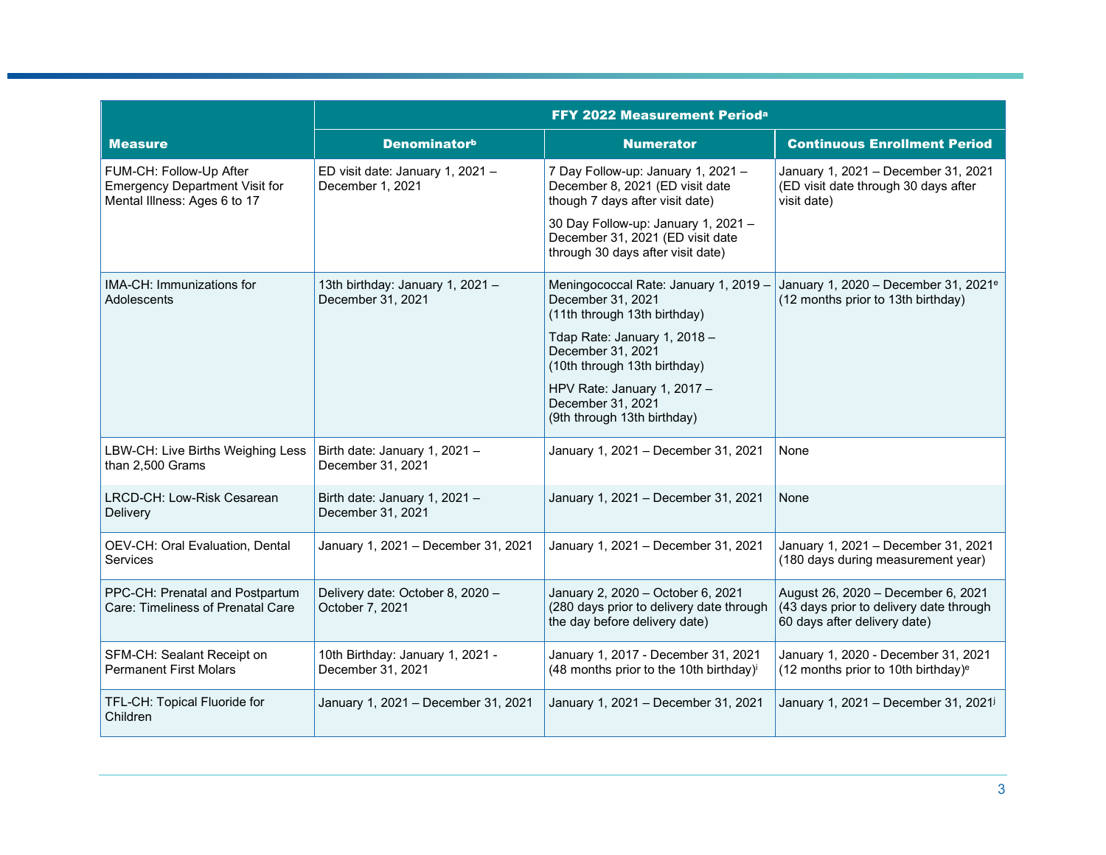|                                                                                                  | FFY 2022 Measurement Perioda                          |                                                                                                                |                                                                                                               |
|--------------------------------------------------------------------------------------------------|-------------------------------------------------------|----------------------------------------------------------------------------------------------------------------|---------------------------------------------------------------------------------------------------------------|
| <b>Measure</b>                                                                                   | <b>Denominatorb</b>                                   | <b>Numerator</b>                                                                                               | <b>Continuous Enrollment Period</b>                                                                           |
| FUM-CH: Follow-Up After<br><b>Emergency Department Visit for</b><br>Mental Illness: Ages 6 to 17 | ED visit date: January 1, 2021 -<br>December 1, 2021  | 7 Day Follow-up: January 1, 2021 -<br>December 8, 2021 (ED visit date<br>though 7 days after visit date)       | January 1, 2021 - December 31, 2021<br>(ED visit date through 30 days after<br>visit date)                    |
|                                                                                                  |                                                       | 30 Day Follow-up: January 1, 2021 -<br>December 31, 2021 (ED visit date<br>through 30 days after visit date)   |                                                                                                               |
| IMA-CH: Immunizations for<br>Adolescents                                                         | 13th birthday: January 1, 2021 -<br>December 31, 2021 | Meningococcal Rate: January 1, 2019 -<br>December 31, 2021<br>(11th through 13th birthday)                     | January 1, 2020 - December 31, 2021 <sup>e</sup><br>(12 months prior to 13th birthday)                        |
|                                                                                                  |                                                       | Tdap Rate: January 1, 2018 -<br>December 31, 2021<br>(10th through 13th birthday)                              |                                                                                                               |
|                                                                                                  |                                                       | HPV Rate: January 1, 2017 -<br>December 31, 2021<br>(9th through 13th birthday)                                |                                                                                                               |
| LBW-CH: Live Births Weighing Less<br>than 2,500 Grams                                            | Birth date: January 1, 2021 -<br>December 31, 2021    | January 1, 2021 - December 31, 2021                                                                            | None                                                                                                          |
| LRCD-CH: Low-Risk Cesarean<br>Delivery                                                           | Birth date: January 1, 2021 -<br>December 31, 2021    | January 1, 2021 - December 31, 2021                                                                            | None                                                                                                          |
| OEV-CH: Oral Evaluation, Dental<br><b>Services</b>                                               | January 1, 2021 - December 31, 2021                   | January 1, 2021 - December 31, 2021                                                                            | January 1, 2021 - December 31, 2021<br>(180 days during measurement year)                                     |
| PPC-CH: Prenatal and Postpartum<br>Care: Timeliness of Prenatal Care                             | Delivery date: October 8, 2020 -<br>October 7, 2021   | January 2, 2020 - October 6, 2021<br>(280 days prior to delivery date through<br>the day before delivery date) | August 26, 2020 - December 6, 2021<br>(43 days prior to delivery date through<br>60 days after delivery date) |
| SFM-CH: Sealant Receipt on<br><b>Permanent First Molars</b>                                      | 10th Birthday: January 1, 2021 -<br>December 31, 2021 | January 1, 2017 - December 31, 2021<br>(48 months prior to the 10th birthday) <sup>i</sup>                     | January 1, 2020 - December 31, 2021<br>(12 months prior to 10th birthday) <sup>e</sup>                        |
| TFL-CH: Topical Fluoride for<br>Children                                                         | January 1, 2021 - December 31, 2021                   | January 1, 2021 - December 31, 2021                                                                            | January 1, 2021 - December 31, 2021 <sup>j</sup>                                                              |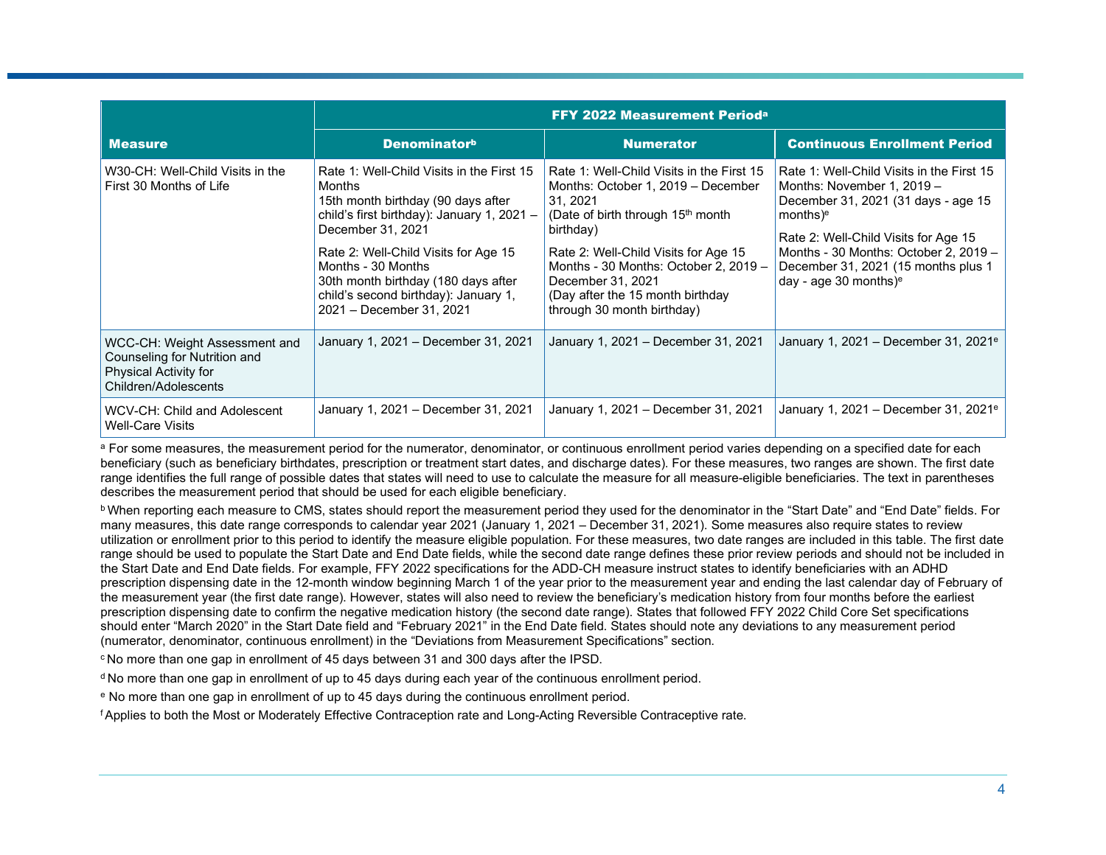|                                                                                                                | <b>FFY 2022 Measurement Perioda</b>                                                                                                                                                                                                                                                                                                   |                                                                                                                                                                                                                                                                                                                                   |                                                                                                                                                                                                                                                                                            |  |
|----------------------------------------------------------------------------------------------------------------|---------------------------------------------------------------------------------------------------------------------------------------------------------------------------------------------------------------------------------------------------------------------------------------------------------------------------------------|-----------------------------------------------------------------------------------------------------------------------------------------------------------------------------------------------------------------------------------------------------------------------------------------------------------------------------------|--------------------------------------------------------------------------------------------------------------------------------------------------------------------------------------------------------------------------------------------------------------------------------------------|--|
| <b>Measure</b>                                                                                                 | <b>Denominatorb</b>                                                                                                                                                                                                                                                                                                                   | <b>Numerator</b>                                                                                                                                                                                                                                                                                                                  | <b>Continuous Enrollment Period</b>                                                                                                                                                                                                                                                        |  |
| W30-CH: Well-Child Visits in the<br>First 30 Months of Life                                                    | Rate 1: Well-Child Visits in the First 15<br>Months<br>15th month birthday (90 days after<br>child's first birthday): January 1, 2021 -<br>December 31, 2021<br>Rate 2: Well-Child Visits for Age 15<br>Months - 30 Months<br>30th month birthday (180 days after<br>child's second birthday): January 1,<br>2021 - December 31, 2021 | Rate 1: Well-Child Visits in the First 15<br>Months: October 1, 2019 - December<br>31.2021<br>(Date of birth through 15 <sup>th</sup> month<br>birthday)<br>Rate 2: Well-Child Visits for Age 15<br>Months - 30 Months: October 2, 2019 -<br>December 31, 2021<br>(Day after the 15 month birthday)<br>through 30 month birthday) | Rate 1: Well-Child Visits in the First 15<br>Months: November 1, 2019 -<br>December 31, 2021 (31 days - age 15<br>months) <sup>e</sup><br>Rate 2: Well-Child Visits for Age 15<br>Months - 30 Months: October 2, 2019 -<br>December 31, 2021 (15 months plus 1<br>day - age 30 months) $e$ |  |
| WCC-CH: Weight Assessment and<br>Counseling for Nutrition and<br>Physical Activity for<br>Children/Adolescents | January 1, 2021 – December 31, 2021                                                                                                                                                                                                                                                                                                   | January 1, 2021 – December 31, 2021                                                                                                                                                                                                                                                                                               | January 1, 2021 – December 31, 2021 <sup>e</sup>                                                                                                                                                                                                                                           |  |
| WCV-CH: Child and Adolescent<br><b>Well-Care Visits</b>                                                        | January 1, 2021 - December 31, 2021                                                                                                                                                                                                                                                                                                   | January 1, 2021 - December 31, 2021                                                                                                                                                                                                                                                                                               | January 1, 2021 – December 31, 2021 <sup>e</sup>                                                                                                                                                                                                                                           |  |

<sup>a</sup> For some measures, the measurement period for the numerator, denominator, or continuous enrollment period varies depending on a specified date for each beneficiary (such as beneficiary birthdates, prescription or treatment start dates, and discharge dates). For these measures, two ranges are shown. The first date range identifies the full range of possible dates that states will need to use to calculate the measure for all measure-eligible beneficiaries. The text in parentheses describes the measurement period that should be used for each eligible beneficiary.

**b** When reporting each measure to CMS, states should report the measurement period they used for the denominator in the "Start Date" and "End Date" fields. For many measures, this date range corresponds to calendar year 2021 (January 1, 2021 – December 31, 2021). Some measures also require states to review utilization or enrollment prior to this period to identify the measure eligible population. For these measures, two date ranges are included in this table. The first date range should be used to populate the Start Date and End Date fields, while the second date range defines these prior review periods and should not be included in the Start Date and End Date fields. For example, FFY 2022 specifications for the ADD-CH measure instruct states to identify beneficiaries with an ADHD prescription dispensing date in the 12-month window beginning March 1 of the year prior to the measurement year and ending the last calendar day of February of the measurement year (the first date range). However, states will also need to review the beneficiary's medication history from four months before the earliest prescription dispensing date to confirm the negative medication history (the second date range). States that followed FFY 2022 Child Core Set specifications should enter "March 2020" in the Start Date field and "February 2021" in the End Date field. States should note any deviations to any measurement period (numerator, denominator, continuous enrollment) in the "Deviations from Measurement Specifications" section.

c No more than one gap in enrollment of 45 days between 31 and 300 days after the IPSD.

d No more than one gap in enrollment of up to 45 days during each year of the continuous enrollment period.

<sup>e</sup> No more than one gap in enrollment of up to 45 days during the continuous enrollment period.

f Applies to both the Most or Moderately Effective Contraception rate and Long-Acting Reversible Contraceptive rate.